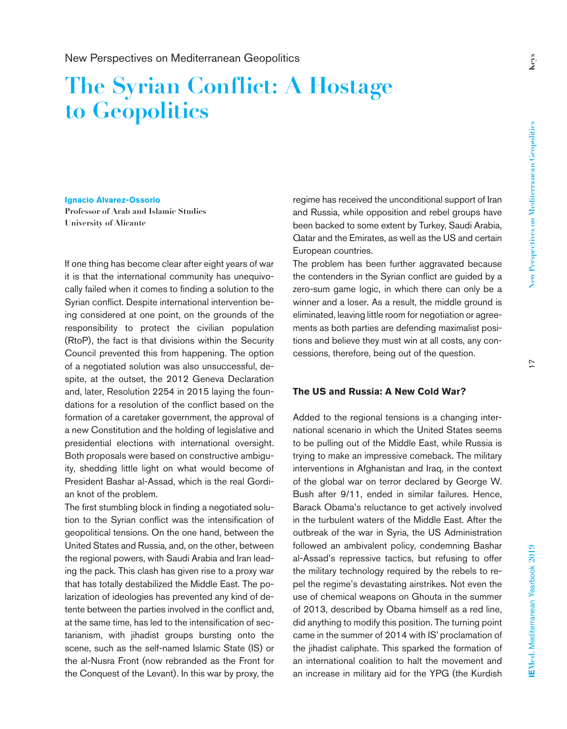# **The Syrian Conflict: A Hostage to Geopolitics**

#### **Ignacio Álvarez-Ossorio**

**Professor of Arab and Islamic Studies University of Alicante**

If one thing has become clear after eight years of war it is that the international community has unequivocally failed when it comes to finding a solution to the Syrian conflict. Despite international intervention being considered at one point, on the grounds of the responsibility to protect the civilian population (RtoP), the fact is that divisions within the Security Council prevented this from happening. The option of a negotiated solution was also unsuccessful, despite, at the outset, the 2012 Geneva Declaration and, later, Resolution 2254 in 2015 laying the foundations for a resolution of the conflict based on the formation of a caretaker government, the approval of a new Constitution and the holding of legislative and presidential elections with international oversight. Both proposals were based on constructive ambiguity, shedding little light on what would become of President Bashar al-Assad, which is the real Gordian knot of the problem.

The first stumbling block in finding a negotiated solution to the Syrian conflict was the intensification of geopolitical tensions. On the one hand, between the United States and Russia, and, on the other, between the regional powers, with Saudi Arabia and Iran leading the pack. This clash has given rise to a proxy war that has totally destabilized the Middle East. The polarization of ideologies has prevented any kind of detente between the parties involved in the conflict and, at the same time, has led to the intensification of sectarianism, with jihadist groups bursting onto the scene, such as the self-named Islamic State (IS) or the al-Nusra Front (now rebranded as the Front for the Conquest of the Levant). In this war by proxy, the

regime has received the unconditional support of Iran and Russia, while opposition and rebel groups have been backed to some extent by Turkey, Saudi Arabia, Qatar and the Emirates, as well as the US and certain European countries.

The problem has been further aggravated because the contenders in the Syrian conflict are guided by a zero-sum game logic, in which there can only be a winner and a loser. As a result, the middle ground is eliminated, leaving little room for negotiation or agreements as both parties are defending maximalist positions and believe they must win at all costs, any concessions, therefore, being out of the question.

## **The US and Russia: A New Cold War?**

Added to the regional tensions is a changing international scenario in which the United States seems to be pulling out of the Middle East, while Russia is trying to make an impressive comeback. The military interventions in Afghanistan and Iraq, in the context of the global war on terror declared by George W. Bush after 9/11, ended in similar failures. Hence, Barack Obama's reluctance to get actively involved in the turbulent waters of the Middle East. After the outbreak of the war in Syria, the US Administration followed an ambivalent policy, condemning Bashar al-Assad's repressive tactics, but refusing to offer the military technology required by the rebels to repel the regime's devastating airstrikes. Not even the use of chemical weapons on Ghouta in the summer of 2013, described by Obama himself as a red line, did anything to modify this position. The turning point came in the summer of 2014 with IS' proclamation of the jihadist caliphate. This sparked the formation of an international coalition to halt the movement and an increase in military aid for the YPG (the Kurdish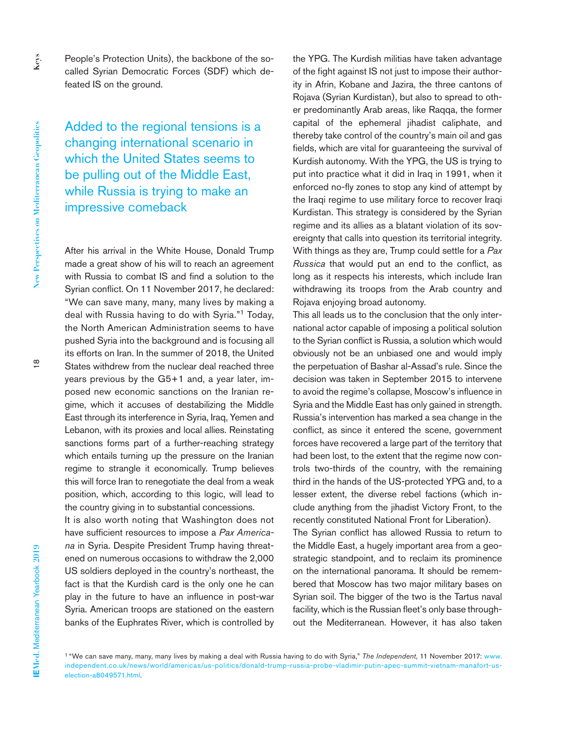People's Protection Units), the backbone of the socalled Syrian Democratic Forces (SDF) which defeated IS on the ground.

Added to the regional tensions is a changing international scenario in which the United States seems to be pulling out of the Middle East, while Russia is trying to make an impressive comeback

After his arrival in the White House, Donald Trump made a great show of his will to reach an agreement with Russia to combat IS and find a solution to the Syrian conflict. On 11 November 2017, he declared: "We can save many, many, many lives by making a deal with Russia having to do with Syria."1 Today, the North American Administration seems to have pushed Syria into the background and is focusing all its efforts on Iran. In the summer of 2018, the United States withdrew from the nuclear deal reached three years previous by the G5+1 and, a year later, imposed new economic sanctions on the Iranian regime, which it accuses of destabilizing the Middle East through its interference in Syria, Iraq, Yemen and Lebanon, with its proxies and local allies. Reinstating sanctions forms part of a further-reaching strategy which entails turning up the pressure on the Iranian regime to strangle it economically. Trump believes this will force Iran to renegotiate the deal from a weak position, which, according to this logic, will lead to the country giving in to substantial concessions.

It is also worth noting that Washington does not have sufficient resources to impose a *Pax Americana* in Syria. Despite President Trump having threatened on numerous occasions to withdraw the 2,000 US soldiers deployed in the country's northeast, the fact is that the Kurdish card is the only one he can play in the future to have an influence in post-war Syria. American troops are stationed on the eastern banks of the Euphrates River, which is controlled by

the YPG. The Kurdish militias have taken advantage of the fight against IS not just to impose their authority in Afrin, Kobane and Jazira, the three cantons of Rojava (Syrian Kurdistan), but also to spread to other predominantly Arab areas, like Raqqa, the former capital of the ephemeral jihadist caliphate, and thereby take control of the country's main oil and gas fields, which are vital for guaranteeing the survival of Kurdish autonomy. With the YPG, the US is trying to put into practice what it did in Iraq in 1991, when it enforced no-fly zones to stop any kind of attempt by the Iraqi regime to use military force to recover Iraqi Kurdistan. This strategy is considered by the Syrian regime and its allies as a blatant violation of its sovereignty that calls into question its territorial integrity. With things as they are, Trump could settle for a *Pax Russica* that would put an end to the conflict, as long as it respects his interests, which include Iran withdrawing its troops from the Arab country and Rojava enjoying broad autonomy.

This all leads us to the conclusion that the only international actor capable of imposing a political solution to the Syrian conflict is Russia, a solution which would obviously not be an unbiased one and would imply the perpetuation of Bashar al-Assad's rule. Since the decision was taken in September 2015 to intervene to avoid the regime's collapse, Moscow's influence in Syria and the Middle East has only gained in strength. Russia's intervention has marked a sea change in the conflict, as since it entered the scene, government forces have recovered a large part of the territory that had been lost, to the extent that the regime now controls two-thirds of the country, with the remaining third in the hands of the US-protected YPG and, to a lesser extent, the diverse rebel factions (which include anything from the jihadist Victory Front, to the recently constituted National Front for Liberation).

The Syrian conflict has allowed Russia to return to the Middle East, a hugely important area from a geostrategic standpoint, and to reclaim its prominence on the international panorama. It should be remembered that Moscow has two major military bases on Syrian soil. The bigger of the two is the Tartus naval facility, which is the Russian fleet's only base throughout the Mediterranean. However, it has also taken

1 "We can save many, many, many lives by making a deal with Russia having to do with Syria," *The Independent*, 11 November 2017: www. independent.co.uk/news/world/americas/us-politics/donald-trump-russia-probe-vladimir-putin-apec-summit-vietnam-manafort-uselection-a8049571.html.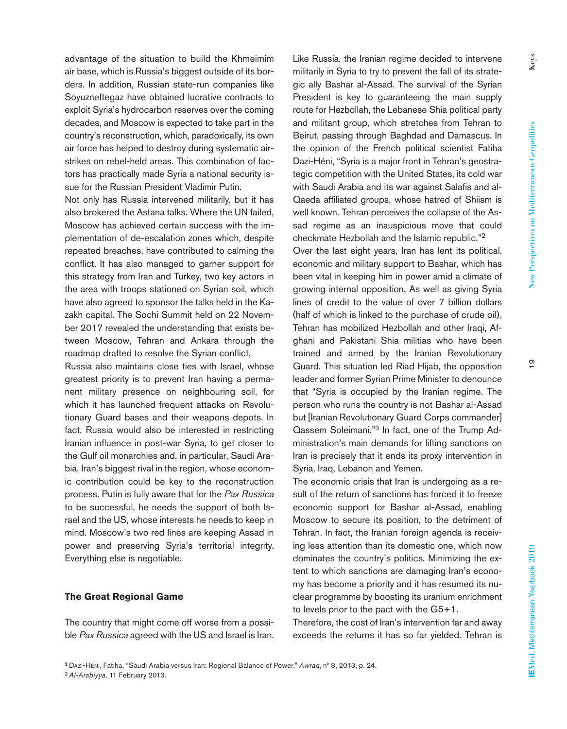**Keys**

advantage of the situation to build the Khmeimim air base, which is Russia's biggest outside of its borders. In addition, Russian state-run companies like Soyuzneftegaz have obtained lucrative contracts to exploit Syria's hydrocarbon reserves over the coming decades, and Moscow is expected to take part in the country's reconstruction, which, paradoxically, its own air force has helped to destroy during systematic airstrikes on rebel-held areas. This combination of factors has practically made Syria a national security issue for the Russian President Vladimir Putin.

Not only has Russia intervened militarily, but it has also brokered the Astana talks. Where the UN failed, Moscow has achieved certain success with the implementation of de-escalation zones which, despite repeated breaches, have contributed to calming the conflict. It has also managed to garner support for this strategy from Iran and Turkey, two key actors in the area with troops stationed on Syrian soil, which have also agreed to sponsor the talks held in the Kazakh capital. The Sochi Summit held on 22 November 2017 revealed the understanding that exists between Moscow, Tehran and Ankara through the roadmap drafted to resolve the Syrian conflict.

Russia also maintains close ties with Israel, whose greatest priority is to prevent Iran having a permanent military presence on neighbouring soil, for which it has launched frequent attacks on Revolutionary Guard bases and their weapons depots. In fact, Russia would also be interested in restricting Iranian influence in post-war Syria, to get closer to the Gulf oil monarchies and, in particular, Saudi Arabia, Iran's biggest rival in the region, whose economic contribution could be key to the reconstruction process. Putin is fully aware that for the *Pax Russica* to be successful, he needs the support of both Israel and the US, whose interests he needs to keep in mind. Moscow's two red lines are keeping Assad in power and preserving Syria's territorial integrity. Everything else is negotiable.

# **The Great Regional Game**

The country that might come off worse from a possible *Pax Russica* agreed with the US and Israel is Iran. Like Russia, the Iranian regime decided to intervene militarily in Syria to try to prevent the fall of its strategic ally Bashar al-Assad. The survival of the Syrian President is key to guaranteeing the main supply route for Hezbollah, the Lebanese Shia political party and militant group, which stretches from Tehran to Beirut, passing through Baghdad and Damascus. In the opinion of the French political scientist Fatiha Dazi-Héni, "Syria is a major front in Tehran's geostrategic competition with the United States, its cold war with Saudi Arabia and its war against Salafis and al-Qaeda affiliated groups, whose hatred of Shiism is well known. Tehran perceives the collapse of the Assad regime as an inauspicious move that could checkmate Hezbollah and the Islamic republic."2

Over the last eight years, Iran has lent its political, economic and military support to Bashar, which has been vital in keeping him in power amid a climate of growing internal opposition. As well as giving Syria lines of credit to the value of over 7 billion dollars (half of which is linked to the purchase of crude oil), Tehran has mobilized Hezbollah and other Iraqi, Afghani and Pakistani Shia militias who have been trained and armed by the Iranian Revolutionary Guard. This situation led Riad Hijab, the opposition leader and former Syrian Prime Minister to denounce that "Syria is occupied by the Iranian regime. The person who runs the country is not Bashar al-Assad but [Iranian Revolutionary Guard Corps commander] Qassem Soleimani."3 In fact, one of the Trump Administration's main demands for lifting sanctions on Iran is precisely that it ends its proxy intervention in Syria, Iraq, Lebanon and Yemen.

The economic crisis that Iran is undergoing as a result of the return of sanctions has forced it to freeze economic support for Bashar al-Assad, enabling Moscow to secure its position, to the detriment of Tehran. In fact, the Iranian foreign agenda is receiving less attention than its domestic one, which now dominates the country's politics. Minimizing the extent to which sanctions are damaging Iran's economy has become a priority and it has resumed its nuclear programme by boosting its uranium enrichment to levels prior to the pact with the G5+1.

Therefore, the cost of Iran's intervention far and away exceeds the returns it has so far yielded. Tehran is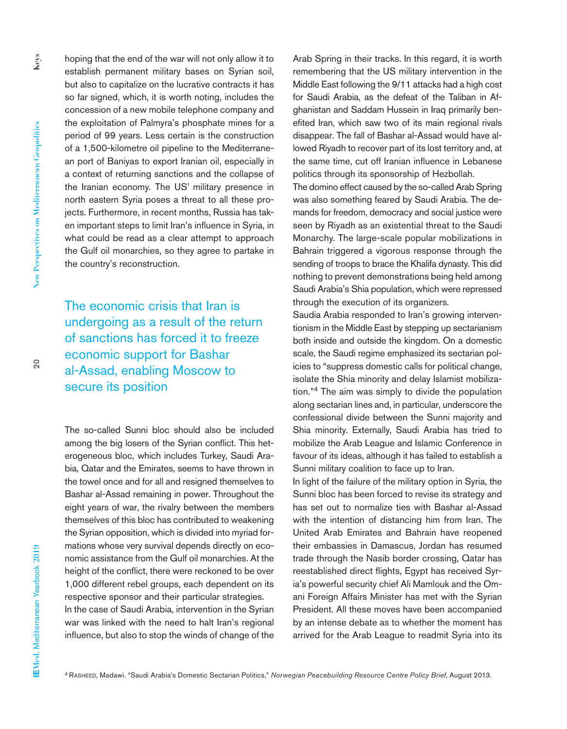hoping that the end of the war will not only allow it to establish permanent military bases on Syrian soil, but also to capitalize on the lucrative contracts it has so far signed, which, it is worth noting, includes the concession of a new mobile telephone company and the exploitation of Palmyra's phosphate mines for a period of 99 years. Less certain is the construction of a 1,500-kilometre oil pipeline to the Mediterranean port of Baniyas to export Iranian oil, especially in a context of returning sanctions and the collapse of the Iranian economy. The US' military presence in north eastern Syria poses a threat to all these projects. Furthermore, in recent months, Russia has taken important steps to limit Iran's influence in Syria, in what could be read as a clear attempt to approach the Gulf oil monarchies, so they agree to partake in the country's reconstruction.

The economic crisis that Iran is undergoing as a result of the return of sanctions has forced it to freeze economic support for Bashar al-Assad, enabling Moscow to secure its position

The so-called Sunni bloc should also be included among the big losers of the Syrian conflict. This heterogeneous bloc, which includes Turkey, Saudi Arabia, Qatar and the Emirates, seems to have thrown in the towel once and for all and resigned themselves to Bashar al-Assad remaining in power. Throughout the eight years of war, the rivalry between the members themselves of this bloc has contributed to weakening the Syrian opposition, which is divided into myriad formations whose very survival depends directly on economic assistance from the Gulf oil monarchies. At the height of the conflict, there were reckoned to be over 1,000 different rebel groups, each dependent on its respective sponsor and their particular strategies. In the case of Saudi Arabia, intervention in the Syrian war was linked with the need to halt Iran's regional

influence, but also to stop the winds of change of the

Arab Spring in their tracks. In this regard, it is worth remembering that the US military intervention in the Middle East following the 9/11 attacks had a high cost for Saudi Arabia, as the defeat of the Taliban in Afghanistan and Saddam Hussein in Iraq primarily benefited Iran, which saw two of its main regional rivals disappear. The fall of Bashar al-Assad would have allowed Riyadh to recover part of its lost territory and, at the same time, cut off Iranian influence in Lebanese politics through its sponsorship of Hezbollah.

The domino effect caused by the so-called Arab Spring was also something feared by Saudi Arabia. The demands for freedom, democracy and social justice were seen by Riyadh as an existential threat to the Saudi Monarchy. The large-scale popular mobilizations in Bahrain triggered a vigorous response through the sending of troops to brace the Khalifa dynasty. This did nothing to prevent demonstrations being held among Saudi Arabia's Shia population, which were repressed through the execution of its organizers.

Saudia Arabia responded to Iran's growing interventionism in the Middle East by stepping up sectarianism both inside and outside the kingdom. On a domestic scale, the Saudi regime emphasized its sectarian policies to "suppress domestic calls for political change, isolate the Shia minority and delay Islamist mobilization."4 The aim was simply to divide the population along sectarian lines and, in particular, underscore the confessional divide between the Sunni majority and Shia minority. Externally, Saudi Arabia has tried to mobilize the Arab League and Islamic Conference in favour of its ideas, although it has failed to establish a Sunni military coalition to face up to Iran.

In light of the failure of the military option in Syria, the Sunni bloc has been forced to revise its strategy and has set out to normalize ties with Bashar al-Assad with the intention of distancing him from Iran. The United Arab Emirates and Bahrain have reopened their embassies in Damascus, Jordan has resumed trade through the Nasib border crossing, Qatar has reestablished direct flights, Egypt has received Syria's powerful security chief Ali Mamlouk and the Omani Foreign Affairs Minister has met with the Syrian President. All these moves have been accompanied by an intense debate as to whether the moment has arrived for the Arab League to readmit Syria into its